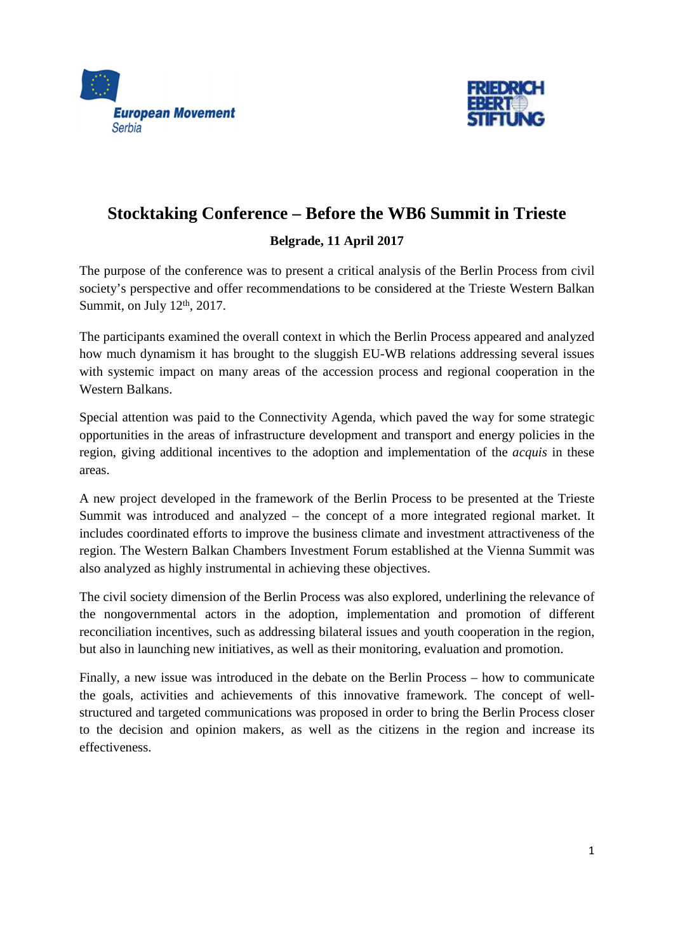



# **Stocktaking Conference – Before the WB6 Summit in Trieste Belgrade, 11 April 2017**

The purpose of the conference was to present a critical analysis of the Berlin Process from civil society's perspective and offer recommendations to be considered at the Trieste Western Balkan Summit, on July  $12<sup>th</sup>$ , 2017.

The participants examined the overall context in which the Berlin Process appeared and analyzed how much dynamism it has brought to the sluggish EU-WB relations addressing several issues with systemic impact on many areas of the accession process and regional cooperation in the Western Balkans.

Special attention was paid to the Connectivity Agenda, which paved the way for some strategic opportunities in the areas of infrastructure development and transport and energy policies in the region, giving additional incentives to the adoption and implementation of the *acquis* in these areas.

A new project developed in the framework of the Berlin Process to be presented at the Trieste Summit was introduced and analyzed – the concept of a more integrated regional market. It includes coordinated efforts to improve the business climate and investment attractiveness of the region. The Western Balkan Chambers Investment Forum established at the Vienna Summit was also analyzed as highly instrumental in achieving these objectives.

The civil society dimension of the Berlin Process was also explored, underlining the relevance of the nongovernmental actors in the adoption, implementation and promotion of different reconciliation incentives, such as addressing bilateral issues and youth cooperation in the region, but also in launching new initiatives, as well as their monitoring, evaluation and promotion.

Finally, a new issue was introduced in the debate on the Berlin Process – how to communicate the goals, activities and achievements of this innovative framework. The concept of wellstructured and targeted communications was proposed in order to bring the Berlin Process closer to the decision and opinion makers, as well as the citizens in the region and increase its effectiveness.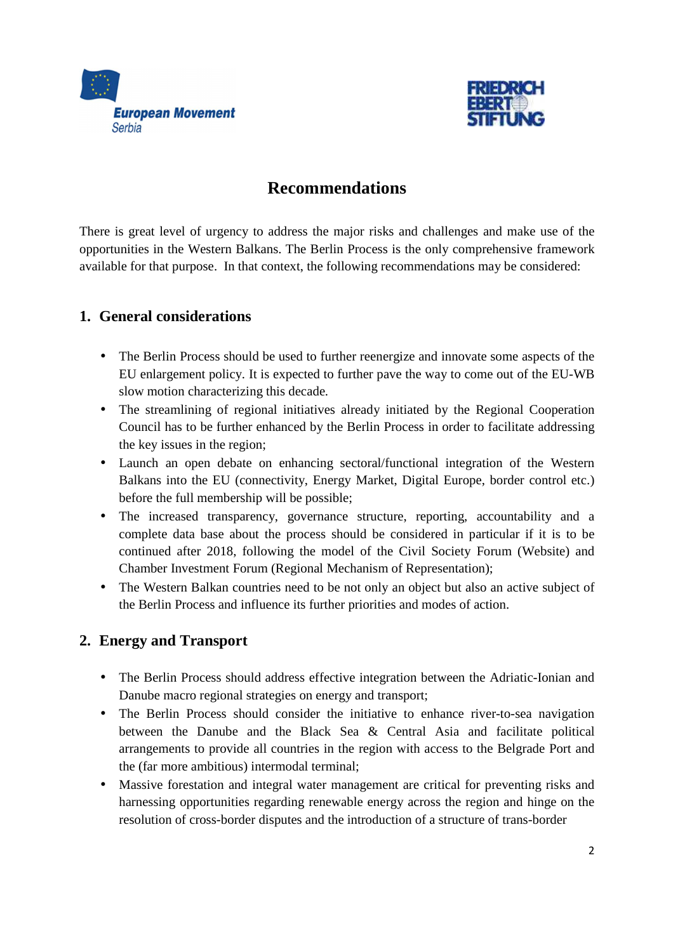



# **Recommendations**

There is great level of urgency to address the major risks and challenges and make use of the opportunities in the Western Balkans. The Berlin Process is the only comprehensive framework available for that purpose. In that context, the following recommendations may be considered:

#### **1. General considerations**

- The Berlin Process should be used to further reenergize and innovate some aspects of the EU enlargement policy. It is expected to further pave the way to come out of the EU-WB slow motion characterizing this decade.
- The streamlining of regional initiatives already initiated by the Regional Cooperation Council has to be further enhanced by the Berlin Process in order to facilitate addressing the key issues in the region;
- Launch an open debate on enhancing sectoral/functional integration of the Western Balkans into the EU (connectivity, Energy Market, Digital Europe, border control etc.) before the full membership will be possible;
- The increased transparency, governance structure, reporting, accountability and a complete data base about the process should be considered in particular if it is to be continued after 2018, following the model of the Civil Society Forum (Website) and Chamber Investment Forum (Regional Mechanism of Representation);
- The Western Balkan countries need to be not only an object but also an active subject of the Berlin Process and influence its further priorities and modes of action.

### **2. Energy and Transport**

- The Berlin Process should address effective integration between the Adriatic-Ionian and Danube macro regional strategies on energy and transport;
- The Berlin Process should consider the initiative to enhance river-to-sea navigation between the Danube and the Black Sea & Central Asia and facilitate political arrangements to provide all countries in the region with access to the Belgrade Port and the (far more ambitious) intermodal terminal;
- Massive forestation and integral water management are critical for preventing risks and harnessing opportunities regarding renewable energy across the region and hinge on the resolution of cross-border disputes and the introduction of a structure of trans-border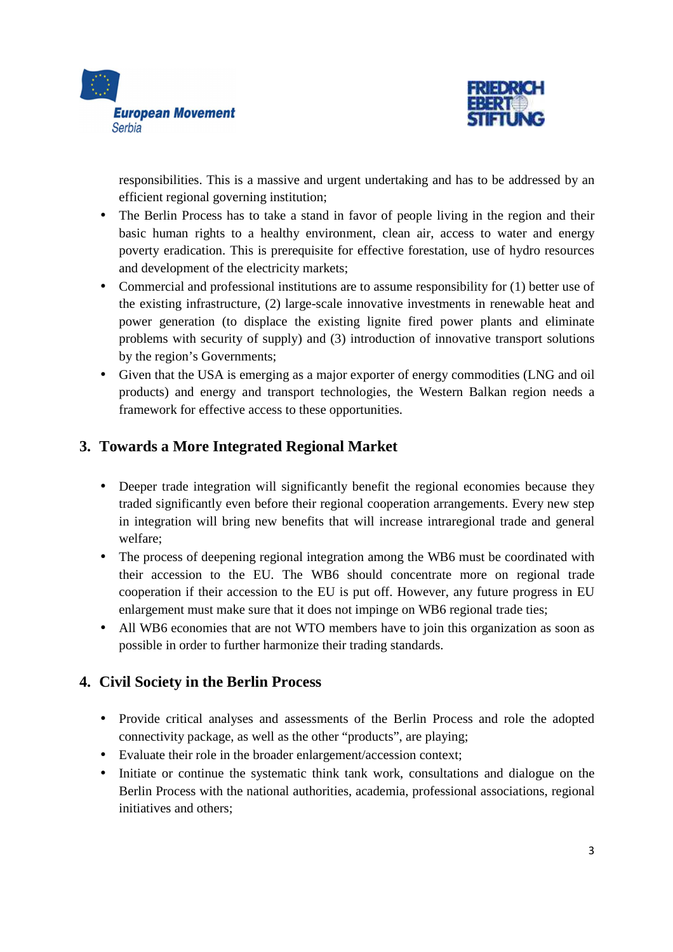



responsibilities. This is a massive and urgent undertaking and has to be addressed by an efficient regional governing institution;

- The Berlin Process has to take a stand in favor of people living in the region and their basic human rights to a healthy environment, clean air, access to water and energy poverty eradication. This is prerequisite for effective forestation, use of hydro resources and development of the electricity markets;
- Commercial and professional institutions are to assume responsibility for (1) better use of the existing infrastructure, (2) large-scale innovative investments in renewable heat and power generation (to displace the existing lignite fired power plants and eliminate problems with security of supply) and (3) introduction of innovative transport solutions by the region's Governments;
- Given that the USA is emerging as a major exporter of energy commodities (LNG and oil products) and energy and transport technologies, the Western Balkan region needs a framework for effective access to these opportunities.

## **3. Towards a More Integrated Regional Market**

- Deeper trade integration will significantly benefit the regional economies because they traded significantly even before their regional cooperation arrangements. Every new step in integration will bring new benefits that will increase intraregional trade and general welfare;
- The process of deepening regional integration among the WB6 must be coordinated with their accession to the EU. The WB6 should concentrate more on regional trade cooperation if their accession to the EU is put off. However, any future progress in EU enlargement must make sure that it does not impinge on WB6 regional trade ties;
- All WB6 economies that are not WTO members have to join this organization as soon as possible in order to further harmonize their trading standards.

### **4. Civil Society in the Berlin Process**

- Provide critical analyses and assessments of the Berlin Process and role the adopted connectivity package, as well as the other "products", are playing;
- Evaluate their role in the broader enlargement/accession context;
- Initiate or continue the systematic think tank work, consultations and dialogue on the Berlin Process with the national authorities, academia, professional associations, regional initiatives and others;